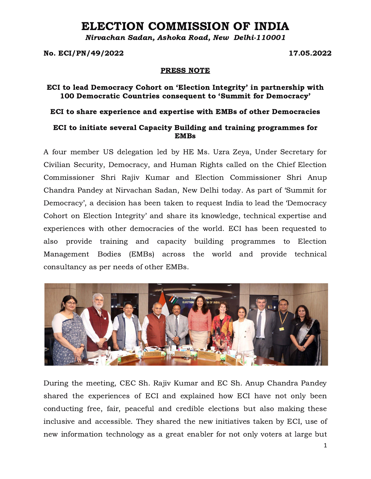## ELECTION COMMISSION OF INDIA

Nirvachan Sadan, Ashoka Road, New Delhi-110001

No. ECI/PN/49/2022 17.05.2022

## PRESS NOTE

## ECI to lead Democracy Cohort on 'Election Integrity' in partnership with 100 Democratic Countries consequent to 'Summit for Democracy'

ECI to share experience and expertise with EMBs of other Democracies

## ECI to initiate several Capacity Building and training programmes for EMBs

A four member US delegation led by HE Ms. Uzra Zeya, Under Secretary for Civilian Security, Democracy, and Human Rights called on the Chief Election Commissioner Shri Rajiv Kumar and Election Commissioner Shri Anup Chandra Pandey at Nirvachan Sadan, New Delhi today. As part of 'Summit for Democracy', a decision has been taken to request India to lead the 'Democracy Cohort on Election Integrity' and share its knowledge, technical expertise and experiences with other democracies of the world. ECI has been requested to also provide training and capacity building programmes to Election Management Bodies (EMBs) across the world and provide technical consultancy as per needs of other EMBs.



During the meeting, CEC Sh. Rajiv Kumar and EC Sh. Anup Chandra Pandey shared the experiences of ECI and explained how ECI have not only been conducting free, fair, peaceful and credible elections but also making these inclusive and accessible. They shared the new initiatives taken by ECI, use of new information technology as a great enabler for not only voters at large but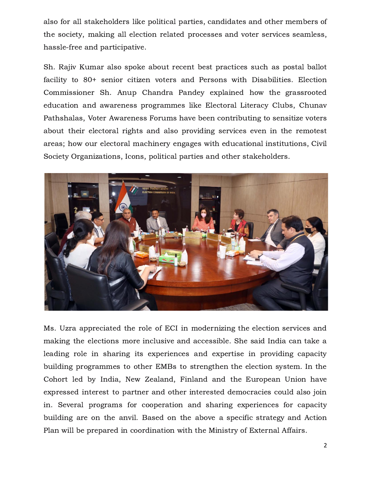also for all stakeholders like political parties, candidates and other members of the society, making all election related processes and voter services seamless, hassle-free and participative.

Sh. Rajiv Kumar also spoke about recent best practices such as postal ballot facility to 80+ senior citizen voters and Persons with Disabilities. Election Commissioner Sh. Anup Chandra Pandey explained how the grassrooted education and awareness programmes like Electoral Literacy Clubs, Chunav Pathshalas, Voter Awareness Forums have been contributing to sensitize voters about their electoral rights and also providing services even in the remotest areas; how our electoral machinery engages with educational institutions, Civil Society Organizations, Icons, political parties and other stakeholders.



Ms. Uzra appreciated the role of ECI in modernizing the election services and making the elections more inclusive and accessible. She said India can take a leading role in sharing its experiences and expertise in providing capacity building programmes to other EMBs to strengthen the election system. In the Cohort led by India, New Zealand, Finland and the European Union have expressed interest to partner and other interested democracies could also join in. Several programs for cooperation and sharing experiences for capacity building are on the anvil. Based on the above a specific strategy and Action Plan will be prepared in coordination with the Ministry of External Affairs.